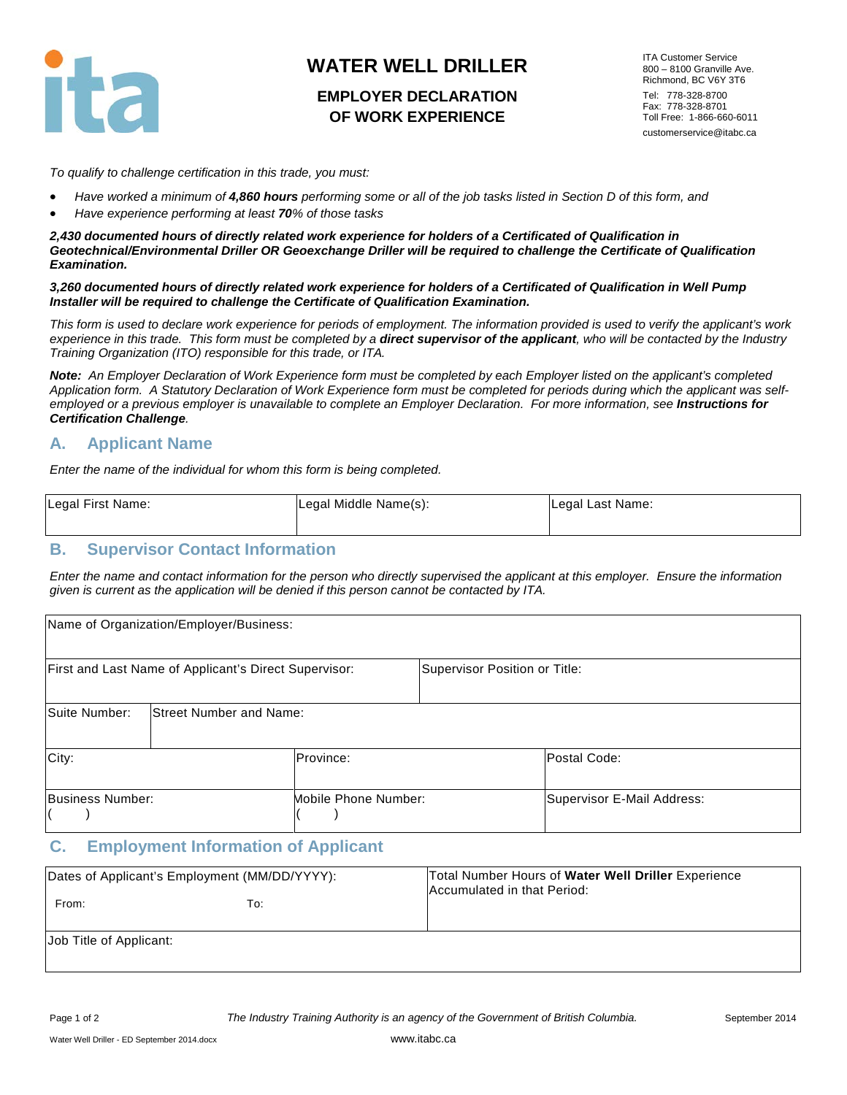

# **WATER WELL DRILLER**

## **EMPLOYER DECLARATION OF WORK EXPERIENCE**

ITA Customer Service 800 – 8100 Granville Ave. Richmond, BC V6Y 3T6 Tel: 778-328-8700 Fax: 778-328-8701 Toll Free: 1-866-660-6011 customerservice@itabc.ca

*To qualify to challenge certification in this trade, you must:* 

- *Have worked a minimum of 4,860 hours performing some or all of the job tasks listed in Section D of this form, and*
- *Have experience performing at least 70% of those tasks*

*2,430 documented hours of directly related work experience for holders of a Certificated of Qualification in Geotechnical/Environmental Driller OR Geoexchange Driller will be required to challenge the Certificate of Qualification Examination.*

*3,260 documented hours of directly related work experience for holders of a Certificated of Qualification in Well Pump Installer will be required to challenge the Certificate of Qualification Examination.*

*This form is used to declare work experience for periods of employment. The information provided is used to verify the applicant's work*  experience in this trade. This form must be completed by a **direct supervisor of the applicant**, who will be contacted by the Industry *Training Organization (ITO) responsible for this trade, or ITA.* 

*Note: An Employer Declaration of Work Experience form must be completed by each Employer listed on the applicant's completed Application form. A Statutory Declaration of Work Experience form must be completed for periods during which the applicant was self*employed or a previous employer is unavailable to complete an Employer Declaration. For more information, see *Instructions for Certification Challenge.* 

### **A. Applicant Name**

*Enter the name of the individual for whom this form is being completed.*

| Legal First Name: | Legal Middle Name(s): | Legal Last Name: |
|-------------------|-----------------------|------------------|
|                   |                       |                  |

### **B. Supervisor Contact Information**

*Enter the name and contact information for the person who directly supervised the applicant at this employer. Ensure the information given is current as the application will be denied if this person cannot be contacted by ITA.*

|                  | Name of Organization/Employer/Business:               |                      |                               |                            |
|------------------|-------------------------------------------------------|----------------------|-------------------------------|----------------------------|
|                  | First and Last Name of Applicant's Direct Supervisor: |                      | Supervisor Position or Title: |                            |
| Suite Number:    | <b>Street Number and Name:</b>                        |                      |                               |                            |
| City:            |                                                       | Province:            |                               | Postal Code:               |
| Business Number: |                                                       | Mobile Phone Number: |                               | Supervisor E-Mail Address: |

### **C. Employment Information of Applicant**

| Dates of Applicant's Employment (MM/DD/YYYY): |     | Total Number Hours of Water Well Driller Experience<br>Accumulated in that Period: |
|-----------------------------------------------|-----|------------------------------------------------------------------------------------|
| From:                                         | To: |                                                                                    |
| Job Title of Applicant:                       |     |                                                                                    |